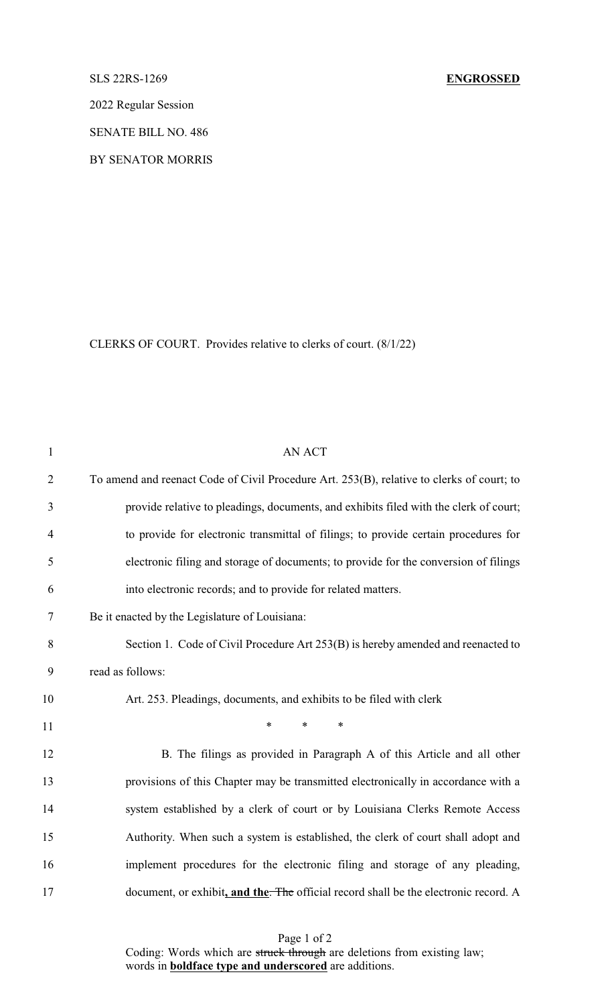2022 Regular Session

SENATE BILL NO. 486

BY SENATOR MORRIS

CLERKS OF COURT. Provides relative to clerks of court. (8/1/22)

| $\mathbf{1}$   | <b>AN ACT</b>                                                                             |
|----------------|-------------------------------------------------------------------------------------------|
| $\overline{2}$ | To amend and reenact Code of Civil Procedure Art. 253(B), relative to clerks of court; to |
| 3              | provide relative to pleadings, documents, and exhibits filed with the clerk of court;     |
| 4              | to provide for electronic transmittal of filings; to provide certain procedures for       |
| 5              | electronic filing and storage of documents; to provide for the conversion of filings      |
| 6              | into electronic records; and to provide for related matters.                              |
| 7              | Be it enacted by the Legislature of Louisiana:                                            |
| 8              | Section 1. Code of Civil Procedure Art 253(B) is hereby amended and reenacted to          |
| 9              | read as follows:                                                                          |
| 10             | Art. 253. Pleadings, documents, and exhibits to be filed with clerk                       |
| 11             | $\ast$<br>$\ast$<br>$\ast$                                                                |
| 12             | B. The filings as provided in Paragraph A of this Article and all other                   |
| 13             | provisions of this Chapter may be transmitted electronically in accordance with a         |
| 14             | system established by a clerk of court or by Louisiana Clerks Remote Access               |
| 15             | Authority. When such a system is established, the clerk of court shall adopt and          |
| 16             | implement procedures for the electronic filing and storage of any pleading,               |
| 17             | document, or exhibit, and the. The official record shall be the electronic record. A      |

Page 1 of 2 Coding: Words which are struck through are deletions from existing law; words in **boldface type and underscored** are additions.